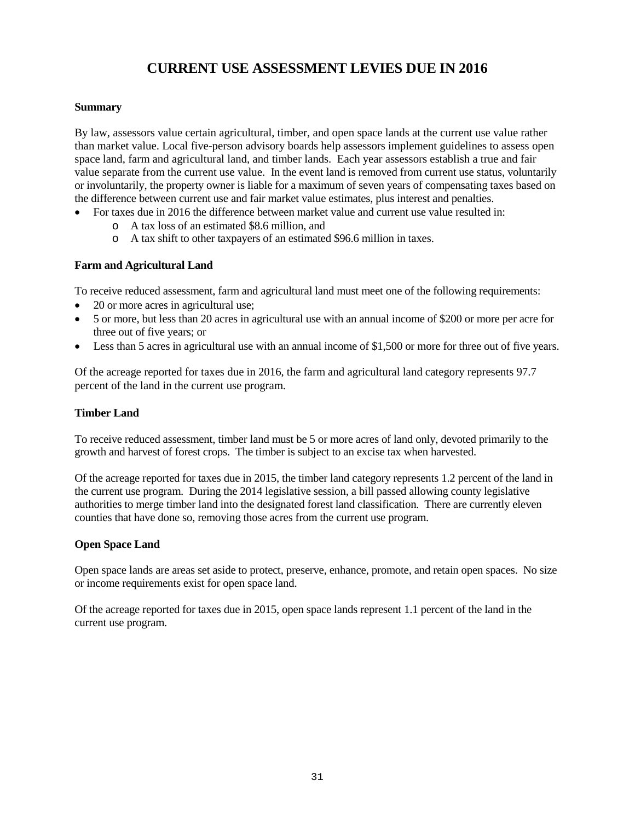# **CURRENT USE ASSESSMENT LEVIES DUE IN 2016**

#### **Summary**

By law, assessors value certain agricultural, timber, and open space lands at the current use value rather than market value. Local five-person advisory boards help assessors implement guidelines to assess open space land, farm and agricultural land, and timber lands. Each year assessors establish a true and fair value separate from the current use value. In the event land is removed from current use status, voluntarily or involuntarily, the property owner is liable for a maximum of seven years of compensating taxes based on the difference between current use and fair market value estimates, plus interest and penalties.

- For taxes due in 2016 the difference between market value and current use value resulted in:
	- o A tax loss of an estimated \$8.6 million, and
	- o A tax shift to other taxpayers of an estimated \$96.6 million in taxes.

## **Farm and Agricultural Land**

To receive reduced assessment, farm and agricultural land must meet one of the following requirements:

- 20 or more acres in agricultural use;
- 5 or more, but less than 20 acres in agricultural use with an annual income of \$200 or more per acre for three out of five years; or
- Less than 5 acres in agricultural use with an annual income of \$1,500 or more for three out of five years.

Of the acreage reported for taxes due in 2016, the farm and agricultural land category represents 97.7 percent of the land in the current use program.

### **Timber Land**

To receive reduced assessment, timber land must be 5 or more acres of land only, devoted primarily to the growth and harvest of forest crops. The timber is subject to an excise tax when harvested.

Of the acreage reported for taxes due in 2015, the timber land category represents 1.2 percent of the land in the current use program. During the 2014 legislative session, a bill passed allowing county legislative authorities to merge timber land into the designated forest land classification. There are currently eleven counties that have done so, removing those acres from the current use program.

#### **Open Space Land**

Open space lands are areas set aside to protect, preserve, enhance, promote, and retain open spaces. No size or income requirements exist for open space land.

Of the acreage reported for taxes due in 2015, open space lands represent 1.1 percent of the land in the current use program.